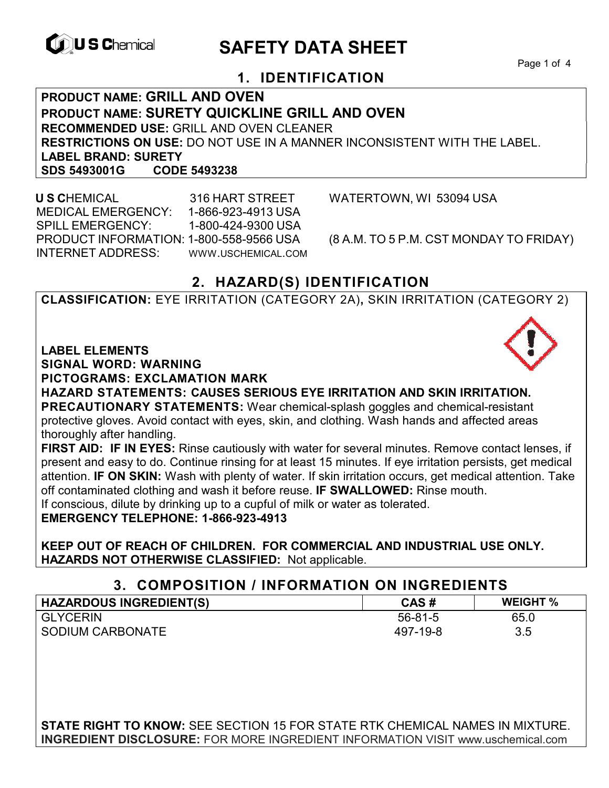

# **CONSCHIEF CONTROLS ARE SAFETY DATA SHEET**

Page 1 of 4

## **1. IDENTIFICATION**

**PRODUCT NAME: GRILL AND OVEN PRODUCT NAME: SURETY QUICKLINE GRILL AND OVEN RECOMMENDED USE:** GRILL AND OVEN CLEANER **RESTRICTIONS ON USE:** DO NOT USE IN A MANNER INCONSISTENT WITH THE LABEL. **LABEL BRAND: SURETY SDS 5493001G** 

 **U S C**HEMICAL 316 HART STREET WATERTOWN, WI 53094 USA MEDICAL EMERGENCY: 1-866-923-4913 USA SPILL EMERGENCY: 1-800-424-9300 USA PRODUCT INFORMATION: 1-800-558-9566 USA (8 A.M. TO 5 P.M. CST MONDAY TO FRIDAY) INTERNET ADDRESS: WWW.USCHEMICAL.COM

## **2. HAZARD(S) IDENTIFICATION**

**CLASSIFICATION:** EYE IRRITATION (CATEGORY 2A)**,** SKIN IRRITATION (CATEGORY 2)

**LABEL ELEMENTS** 

**SIGNAL WORD: WARNING**

**PICTOGRAMS: EXCLAMATION MARK**

**HAZARD STATEMENTS: CAUSES SERIOUS EYE IRRITATION AND SKIN IRRITATION. PRECAUTIONARY STATEMENTS:** Wear chemical-splash goggles and chemical-resistant protective gloves. Avoid contact with eyes, skin, and clothing. Wash hands and affected areas thoroughly after handling.

**FIRST AID: IF IN EYES:** Rinse cautiously with water for several minutes. Remove contact lenses, if present and easy to do. Continue rinsing for at least 15 minutes. If eye irritation persists, get medical attention. **IF ON SKIN:** Wash with plenty of water. If skin irritation occurs, get medical attention. Take off contaminated clothing and wash it before reuse. **IF SWALLOWED:** Rinse mouth. If conscious, dilute by drinking up to a cupful of milk or water as tolerated.

**EMERGENCY TELEPHONE: 1-866-923-4913** 

**KEEP OUT OF REACH OF CHILDREN. FOR COMMERCIAL AND INDUSTRIAL USE ONLY. HAZARDS NOT OTHERWISE CLASSIFIED:** Not applicable.

### **3. COMPOSITION / INFORMATION ON INGREDIENTS**

| <b>HAZARDOUS INGREDIENT(S)</b> | CAS#          | <b>WEIGHT %</b> |
|--------------------------------|---------------|-----------------|
| <b>GLYCERIN</b>                | $56 - 81 - 5$ | 65.0            |
| <b>SODIUM CARBONATE</b>        | 497-19-8      | 3.5             |

**STATE RIGHT TO KNOW:** SEE SECTION 15 FOR STATE RTK CHEMICAL NAMES IN MIXTURE. **INGREDIENT DISCLOSURE:** FOR MORE INGREDIENT INFORMATION VISIT www.uschemical.com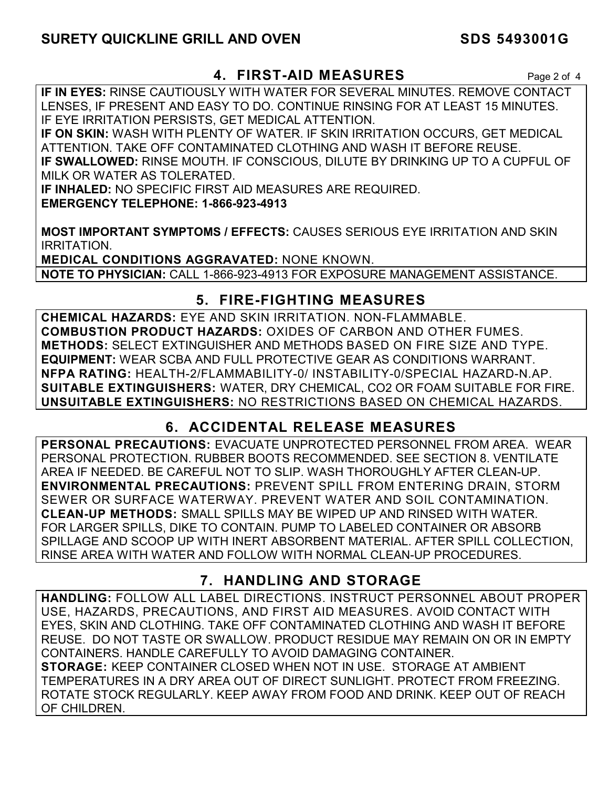## **SURETY QUICKLINE GRILL AND OVEN SURETY QUICKLINE GRILL AND OVEN**

### **4. FIRST-AID MEASURES** Page 2 of 4

**IF IN EYES:** RINSE CAUTIOUSLY WITH WATER FOR SEVERAL MINUTES. REMOVE CONTACT LENSES, IF PRESENT AND EASY TO DO. CONTINUE RINSING FOR AT LEAST 15 MINUTES. IF EYE IRRITATION PERSISTS, GET MEDICAL ATTENTION.

**IF ON SKIN:** WASH WITH PLENTY OF WATER. IF SKIN IRRITATION OCCURS, GET MEDICAL ATTENTION. TAKE OFF CONTAMINATED CLOTHING AND WASH IT BEFORE REUSE. **IF SWALLOWED:** RINSE MOUTH. IF CONSCIOUS, DILUTE BY DRINKING UP TO A CUPFUL OF MILK OR WATER AS TOLERATED.

**IF INHALED:** NO SPECIFIC FIRST AID MEASURES ARE REQUIRED. **EMERGENCY TELEPHONE: 1-866-923-4913** 

**MOST IMPORTANT SYMPTOMS / EFFECTS:** CAUSES SERIOUS EYE IRRITATION AND SKIN IRRITATION.

**MEDICAL CONDITIONS AGGRAVATED:** NONE KNOWN. **NOTE TO PHYSICIAN:** CALL 1-866-923-4913 FOR EXPOSURE MANAGEMENT ASSISTANCE.

### **5. FIRE-FIGHTING MEASURES**

**CHEMICAL HAZARDS:** EYE AND SKIN IRRITATION. NON-FLAMMABLE. **COMBUSTION PRODUCT HAZARDS:** OXIDES OF CARBON AND OTHER FUMES. **METHODS:** SELECT EXTINGUISHER AND METHODS BASED ON FIRE SIZE AND TYPE. **EQUIPMENT:** WEAR SCBA AND FULL PROTECTIVE GEAR AS CONDITIONS WARRANT. **NFPA RATING:** HEALTH-2/FLAMMABILITY-0/ INSTABILITY-0/SPECIAL HAZARD-N.AP. **SUITABLE EXTINGUISHERS:** WATER, DRY CHEMICAL, CO2 OR FOAM SUITABLE FOR FIRE. **UNSUITABLE EXTINGUISHERS:** NO RESTRICTIONS BASED ON CHEMICAL HAZARDS.

## **6. ACCIDENTAL RELEASE MEASURES**

**PERSONAL PRECAUTIONS:** EVACUATE UNPROTECTED PERSONNEL FROM AREA. WEAR PERSONAL PROTECTION. RUBBER BOOTS RECOMMENDED. SEE SECTION 8. VENTILATE AREA IF NEEDED. BE CAREFUL NOT TO SLIP. WASH THOROUGHLY AFTER CLEAN-UP. **ENVIRONMENTAL PRECAUTIONS:** PREVENT SPILL FROM ENTERING DRAIN, STORM SEWER OR SURFACE WATERWAY. PREVENT WATER AND SOIL CONTAMINATION. **CLEAN-UP METHODS:** SMALL SPILLS MAY BE WIPED UP AND RINSED WITH WATER. FOR LARGER SPILLS, DIKE TO CONTAIN. PUMP TO LABELED CONTAINER OR ABSORB SPILLAGE AND SCOOP UP WITH INERT ABSORBENT MATERIAL. AFTER SPILL COLLECTION, RINSE AREA WITH WATER AND FOLLOW WITH NORMAL CLEAN-UP PROCEDURES.

## **7. HANDLING AND STORAGE**

**HANDLING:** FOLLOW ALL LABEL DIRECTIONS. INSTRUCT PERSONNEL ABOUT PROPER USE, HAZARDS, PRECAUTIONS, AND FIRST AID MEASURES. AVOID CONTACT WITH EYES, SKIN AND CLOTHING. TAKE OFF CONTAMINATED CLOTHING AND WASH IT BEFORE REUSE. DO NOT TASTE OR SWALLOW. PRODUCT RESIDUE MAY REMAIN ON OR IN EMPTY CONTAINERS. HANDLE CAREFULLY TO AVOID DAMAGING CONTAINER. **STORAGE:** KEEP CONTAINER CLOSED WHEN NOT IN USE. STORAGE AT AMBIENT TEMPERATURES IN A DRY AREA OUT OF DIRECT SUNLIGHT. PROTECT FROM FREEZING. ROTATE STOCK REGULARLY. KEEP AWAY FROM FOOD AND DRINK. KEEP OUT OF REACH OF CHILDREN.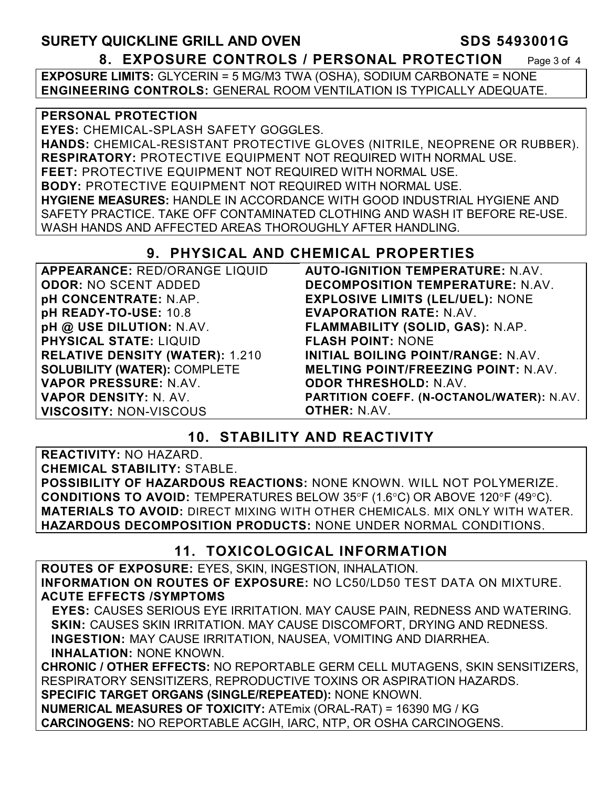## SURETY QUICKLINE GRILL AND OVEN SURETY QUICKLINE GRILL AND OVEN **8. EXPOSURE CONTROLS / PERSONAL PROTECTION** Page 3 of 4

**EXPOSURE LIMITS:** GLYCERIN = 5 MG/M3 TWA (OSHA), SODIUM CARBONATE = NONE **ENGINEERING CONTROLS:** GENERAL ROOM VENTILATION IS TYPICALLY ADEQUATE.

#### **PERSONAL PROTECTION**

**EYES:** CHEMICAL-SPLASH SAFETY GOGGLES. **HANDS:** CHEMICAL-RESISTANT PROTECTIVE GLOVES (NITRILE, NEOPRENE OR RUBBER). **RESPIRATORY:** PROTECTIVE EQUIPMENT NOT REQUIRED WITH NORMAL USE. **FEET:** PROTECTIVE EQUIPMENT NOT REQUIRED WITH NORMAL USE. **BODY:** PROTECTIVE EQUIPMENT NOT REQUIRED WITH NORMAL USE. **HYGIENE MEASURES:** HANDLE IN ACCORDANCE WITH GOOD INDUSTRIAL HYGIENE AND SAFETY PRACTICE. TAKE OFF CONTAMINATED CLOTHING AND WASH IT BEFORE RE-USE. WASH HANDS AND AFFECTED AREAS THOROUGHLY AFTER HANDLING.

## **9. PHYSICAL AND CHEMICAL PROPERTIES**

| <b>APPEARANCE: RED/ORANGE LIQUID</b>   | <b>AUTO-IGNITION TEMPERATURE: N.AV.</b>          |
|----------------------------------------|--------------------------------------------------|
| <b>ODOR: NO SCENT ADDED</b>            | <b>DECOMPOSITION TEMPERATURE: N.AV.</b>          |
| pH CONCENTRATE: N.AP.                  | <b>EXPLOSIVE LIMITS (LEL/UEL): NONE</b>          |
| pH READY-TO-USE: 10.8                  | <b>EVAPORATION RATE: N.AV.</b>                   |
| pH @ USE DILUTION: N.AV.               | FLAMMABILITY (SOLID, GAS): N.AP.                 |
| <b>PHYSICAL STATE: LIQUID</b>          | <b>FLASH POINT: NONE</b>                         |
| <b>RELATIVE DENSITY (WATER): 1.210</b> | INITIAL BOILING POINT/RANGE: N.AV.               |
| <b>SOLUBILITY (WATER): COMPLETE</b>    | <b>MELTING POINT/FREEZING POINT: N.AV.</b>       |
| VAPOR PRESSURE: N.AV.                  | <b>ODOR THRESHOLD: N.AV.</b>                     |
| VAPOR DENSITY: N. AV.                  | <b>PARTITION COEFF. (N-OCTANOL/WATER): N.AV.</b> |
| <b>VISCOSITY: NON-VISCOUS</b>          | <b>OTHER: N.AV.</b>                              |

## **10. STABILITY AND REACTIVITY**

**REACTIVITY:** NO HAZARD. **CHEMICAL STABILITY:** STABLE. **POSSIBILITY OF HAZARDOUS REACTIONS:** NONE KNOWN. WILL NOT POLYMERIZE. **CONDITIONS TO AVOID:** TEMPERATURES BELOW 35°F (1.6°C) OR ABOVE 120°F (49°C). **MATERIALS TO AVOID:** DIRECT MIXING WITH OTHER CHEMICALS. MIX ONLY WITH WATER. **HAZARDOUS DECOMPOSITION PRODUCTS:** NONE UNDER NORMAL CONDITIONS.

## **11. TOXICOLOGICAL INFORMATION**

**ROUTES OF EXPOSURE:** EYES, SKIN, INGESTION, INHALATION. **INFORMATION ON ROUTES OF EXPOSURE:** NO LC50/LD50 TEST DATA ON MIXTURE. **ACUTE EFFECTS /SYMPTOMS** 

 **EYES:** CAUSES SERIOUS EYE IRRITATION. MAY CAUSE PAIN, REDNESS AND WATERING. **SKIN:** CAUSES SKIN IRRITATION. MAY CAUSE DISCOMFORT, DRYING AND REDNESS. **INGESTION:** MAY CAUSE IRRITATION, NAUSEA, VOMITING AND DIARRHEA. **INHALATION:** NONE KNOWN.

**CHRONIC / OTHER EFFECTS:** NO REPORTABLE GERM CELL MUTAGENS, SKIN SENSITIZERS, RESPIRATORY SENSITIZERS, REPRODUCTIVE TOXINS OR ASPIRATION HAZARDS. **SPECIFIC TARGET ORGANS (SINGLE/REPEATED):** NONE KNOWN. **NUMERICAL MEASURES OF TOXICITY:** ATEmix (ORAL-RAT) = 16390 MG / KG **CARCINOGENS:** NO REPORTABLE ACGIH, IARC, NTP, OR OSHA CARCINOGENS.